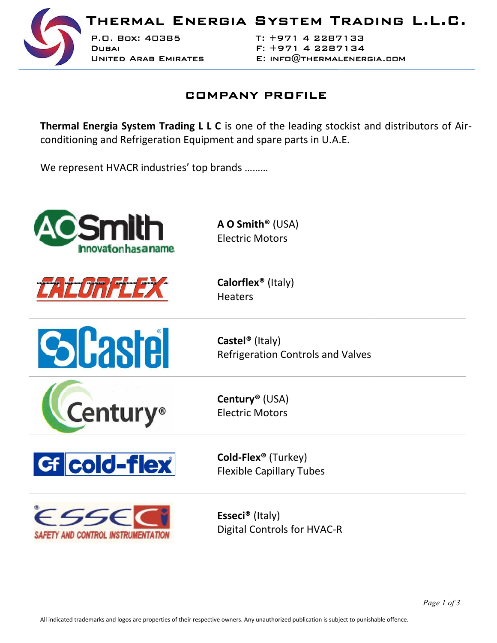**Thermal Energia System Trading L.L.C.**



**P.O. Box: 40385 Dubai United Arab Emirates**

**T: +971 4 2287133 F: +971 4 2287134 E: info@thermalenergia.com United Arab 4 2287134**

## **COMPANY PROFILE**

**Thermal Energia System Trading L L C** is one of the leading stockist and distributors of Air conditioning and Refrigeration Equipment and spare parts in U.A.E. **COMPANY PROFILE**<br> **Englishment and spare parts in U.A.E.**<br> **A O Smith® (USA)**<br> **Exity brands .........**<br> **A O Smith® (USA)**<br> **Electric Motors**<br> **Calorflex® (Italy)**<br> **Respective (Italy)**<br> **Respective Company Comparison Co** 

We represent HVACR industries' top brands ………



**A O Smith®** (USA) Electric Motors



**Calorflex®** (Italy) Heaters



**Castel®** (Italy) **Calorflex®** (Italy)<br>Heaters<br>**Castel®** (Italy)<br>Refrigeration Controls and Valves



**Century®** (USA) Electric Motors



**Cold-Flex®** (Turkey) (Turkey)Flexible Capillary Tubes



**Esseci®** (Italy) Digital Controls for HVAC-R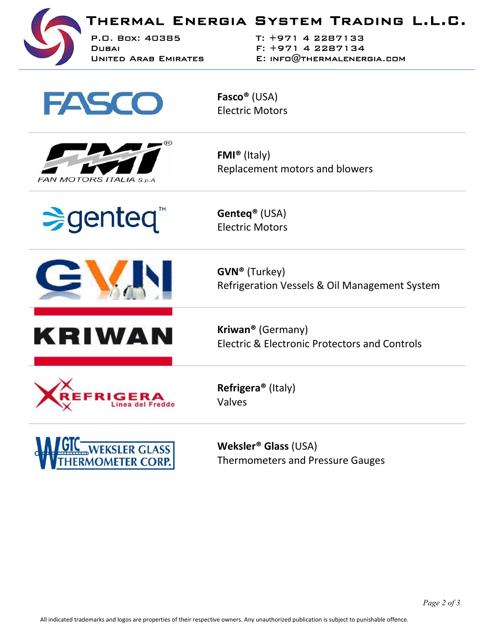



**FMI®** (Italy) Replacement motors and blowers

Senteq<sup>®</sup>

**Genteq®** (USA) Electric Motors



**GVN®** (Turkey) Refrigeration Vessels & Oil Management System Electric Motors<br>
FMI® (Italy)<br>
Replacement motors and blowers<br>
Genteq® (USA)<br>
Electric Motors<br>
GVN® (Turkey)<br>
Refrigeration Vessels & Oil Management !<br>
Kriwan® (Germany)<br>
Electric & Electronic Protectors and Contr<br>
Refrige



**Kriwan®** (Germany) Electric & Electronic Protectors and Controls **GVN®** (Turkey)<br>Refrigeration Vessels & Oil Manage<br>**Kriwan®** (Germany)<br>Electric & Electronic Protectors and



**Refrigera®** (Italy) Valves



**Weksler® Glass** (USA) **Glass**Thermometers and Pressure Gauges